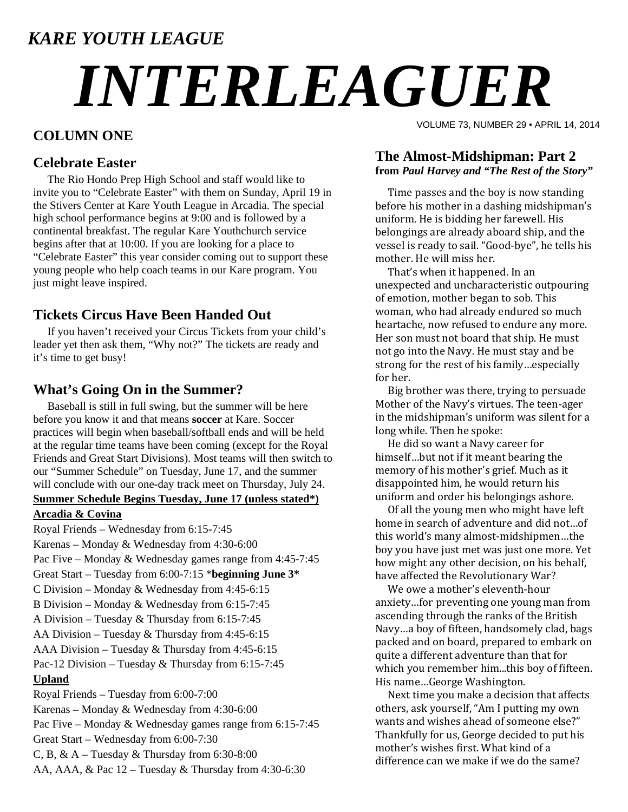## *KARE YOUTH LEAGUE*

# *INTERLEAGUER*

### **COLUMN ONE**

#### **Celebrate Easter**

 The Rio Hondo Prep High School and staff would like to invite you to "Celebrate Easter" with them on Sunday, April 19 in the Stivers Center at Kare Youth League in Arcadia. The special high school performance begins at 9:00 and is followed by a continental breakfast. The regular Kare Youthchurch service begins after that at 10:00. If you are looking for a place to "Celebrate Easter" this year consider coming out to support these young people who help coach teams in our Kare program. You just might leave inspired.

#### **Tickets Circus Have Been Handed Out**

 If you haven't received your Circus Tickets from your child's leader yet then ask them, "Why not?" The tickets are ready and it's time to get busy!

#### **What's Going On in the Summer?**

 Baseball is still in full swing, but the summer will be here before you know it and that means **soccer** at Kare. Soccer practices will begin when baseball/softball ends and will be held at the regular time teams have been coming (except for the Royal Friends and Great Start Divisions). Most teams will then switch to our "Summer Schedule" on Tuesday, June 17, and the summer will conclude with our one-day track meet on Thursday, July 24.

#### **Summer Schedule Begins Tuesday, June 17 (unless stated\*)**

#### **Arcadia & Covina**

Royal Friends – Wednesday from 6:15-7:45 Karenas – Monday & Wednesday from 4:30-6:00 Pac Five – Monday & Wednesday games range from 4:45-7:45 Great Start – Tuesday from 6:00-7:15 \***beginning June 3\*** C Division – Monday & Wednesday from 4:45-6:15 B Division – Monday & Wednesday from 6:15-7:45 A Division – Tuesday & Thursday from 6:15-7:45 AA Division – Tuesday & Thursday from 4:45-6:15 AAA Division – Tuesday & Thursday from 4:45-6:15 Pac-12 Division – Tuesday & Thursday from 6:15-7:45 **Upland** Royal Friends – Tuesday from 6:00-7:00 Karenas – Monday & Wednesday from 4:30-6:00 Pac Five – Monday & Wednesday games range from 6:15-7:45 Great Start – Wednesday from 6:00-7:30 C, B,  $& A$  – Tuesday  $&$  Thursday from 6:30-8:00 AA, AAA, & Pac 12 – Tuesday & Thursday from 4:30-6:30

VOLUME 73, NUMBER 29 • APRIL 14, 2014

#### **The Almost-Midshipman: Part 2 from** *Paul Harvey and "The Rest of the Story"*

Time passes and the boy is now standing before his mother in a dashing midshipman's uniform. He is bidding her farewell. His belongings are already aboard ship, and the vessel is ready to sail. "Good-bye", he tells his mother. He will miss her.

That's when it happened. In an unexpected and uncharacteristic outpouring of emotion, mother began to sob. This woman, who had already endured so much heartache, now refused to endure any more. Her son must not board that ship. He must not go into the Navy. He must stay and be strong for the rest of his family…especially for her.

Big brother was there, trying to persuade Mother of the Navy's virtues. The teen-ager in the midshipman's uniform was silent for a long while. Then he spoke:

He did so want a Navy career for himself...but not if it meant bearing the memory of his mother's grief. Much as it disappointed him, he would return his uniform and order his belongings ashore.

Of all the young men who might have left home in search of adventure and did not...of this world's many almost-midshipmen...the boy you have just met was just one more. Yet how might any other decision, on his behalf, have affected the Revolutionary War?

We owe a mother's eleventh-hour anxiety...for preventing one young man from ascending through the ranks of the British Navy...a boy of fifteen, handsomely clad, bags packed and on board, prepared to embark on quite a different adventure than that for which you remember him...this boy of fifteen. His name...George Washington.

Next time you make a decision that affects others, ask yourself, "Am I putting my own wants and wishes ahead of someone else?" Thankfully for us, George decided to put his mother's wishes first. What kind of a difference can we make if we do the same?